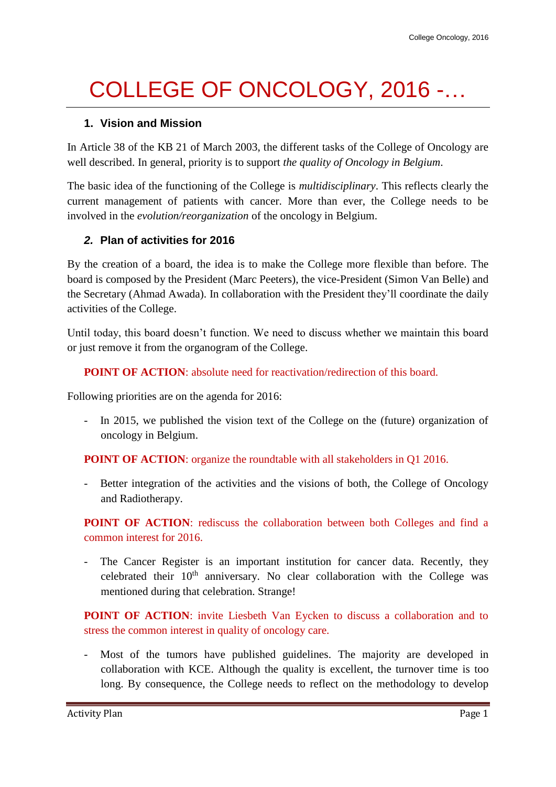# COLLEGE OF ONCOLOGY, 2016 -…

## **1. Vision and Mission**

In Article 38 of the KB 21 of March 2003, the different tasks of the College of Oncology are well described. In general, priority is to support *the quality of Oncology in Belgium*.

The basic idea of the functioning of the College is *multidisciplinary*. This reflects clearly the current management of patients with cancer. More than ever, the College needs to be involved in the *evolution/reorganization* of the oncology in Belgium.

## *2.* **Plan of activities for 2016**

By the creation of a board, the idea is to make the College more flexible than before. The board is composed by the President (Marc Peeters), the vice-President (Simon Van Belle) and the Secretary (Ahmad Awada). In collaboration with the President they'll coordinate the daily activities of the College.

Until today, this board doesn't function. We need to discuss whether we maintain this board or just remove it from the organogram of the College.

**POINT OF ACTION:** absolute need for reactivation/redirection of this board.

Following priorities are on the agenda for 2016:

- In 2015, we published the vision text of the College on the (future) organization of oncology in Belgium.

**POINT OF ACTION:** organize the roundtable with all stakeholders in Q1 2016.

Better integration of the activities and the visions of both, the College of Oncology and Radiotherapy.

**POINT OF ACTION:** rediscuss the collaboration between both Colleges and find a common interest for 2016.

- The Cancer Register is an important institution for cancer data. Recently, they celebrated their  $10<sup>th</sup>$  anniversary. No clear collaboration with the College was mentioned during that celebration. Strange!

**POINT OF ACTION:** invite Liesbeth Van Eycken to discuss a collaboration and to stress the common interest in quality of oncology care.

- Most of the tumors have published guidelines. The majority are developed in collaboration with KCE. Although the quality is excellent, the turnover time is too long. By consequence, the College needs to reflect on the methodology to develop